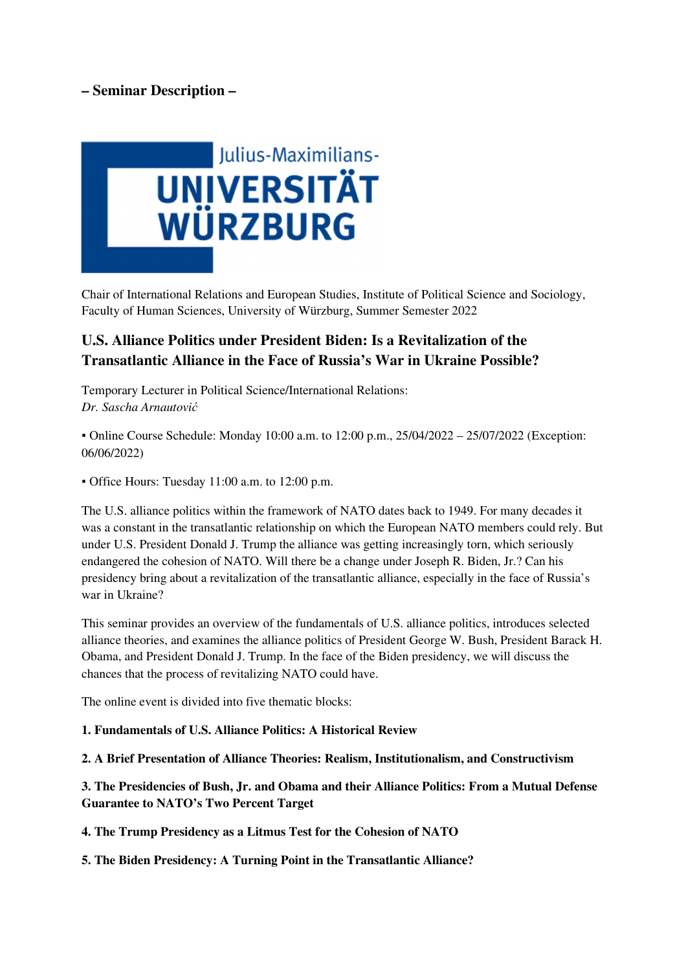## **– Seminar Description –**



Chair of International Relations and European Studies, Institute of Political Science and Sociology, Faculty of Human Sciences, University of Würzburg, Summer Semester 2022

## **U.S. Alliance Politics under President Biden: Is a Revitalization of the Transatlantic Alliance in the Face of Russia's War in Ukraine Possible?**

Temporary Lecturer in Political Science/International Relations: *Dr. Sascha Arnautović*

▪ Online Course Schedule: Monday 10:00 a.m. to 12:00 p.m., 25/04/2022 – 25/07/2022 (Exception: 06/06/2022)

▪ Office Hours: Tuesday 11:00 a.m. to 12:00 p.m.

The U.S. alliance politics within the framework of NATO dates back to 1949. For many decades it was a constant in the transatlantic relationship on which the European NATO members could rely. But under U.S. President Donald J. Trump the alliance was getting increasingly torn, which seriously endangered the cohesion of NATO. Will there be a change under Joseph R. Biden, Jr.? Can his presidency bring about a revitalization of the transatlantic alliance, especially in the face of Russia's war in Ukraine?

This seminar provides an overview of the fundamentals of U.S. alliance politics, introduces selected alliance theories, and examines the alliance politics of President George W. Bush, President Barack H. Obama, and President Donald J. Trump. In the face of the Biden presidency, we will discuss the chances that the process of revitalizing NATO could have.

The online event is divided into five thematic blocks:

**1. Fundamentals of U.S. Alliance Politics: A Historical Review** 

**2. A Brief Presentation of Alliance Theories: Realism, Institutionalism, and Constructivism** 

**3. The Presidencies of Bush, Jr. and Obama and their Alliance Politics: From a Mutual Defense Guarantee to NATO's Two Percent Target** 

**4. The Trump Presidency as a Litmus Test for the Cohesion of NATO** 

**5. The Biden Presidency: A Turning Point in the Transatlantic Alliance?**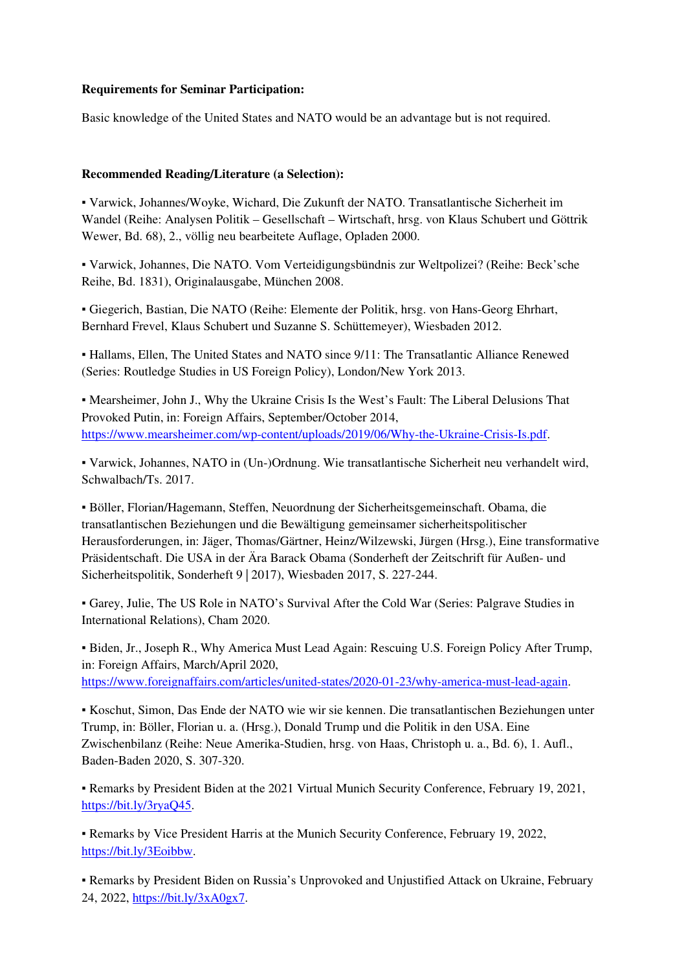## **Requirements for Seminar Participation:**

Basic knowledge of the United States and NATO would be an advantage but is not required.

## **Recommended Reading/Literature (a Selection):**

▪ Varwick, Johannes/Woyke, Wichard, Die Zukunft der NATO. Transatlantische Sicherheit im Wandel (Reihe: Analysen Politik – Gesellschaft – Wirtschaft, hrsg. von Klaus Schubert und Göttrik Wewer, Bd. 68), 2., völlig neu bearbeitete Auflage, Opladen 2000.

▪ Varwick, Johannes, Die NATO. Vom Verteidigungsbündnis zur Weltpolizei? (Reihe: Beck'sche Reihe, Bd. 1831), Originalausgabe, München 2008.

▪ Giegerich, Bastian, Die NATO (Reihe: Elemente der Politik, hrsg. von Hans-Georg Ehrhart, Bernhard Frevel, Klaus Schubert und Suzanne S. Schüttemeyer), Wiesbaden 2012.

▪ Hallams, Ellen, The United States and NATO since 9/11: The Transatlantic Alliance Renewed (Series: Routledge Studies in US Foreign Policy), London/New York 2013.

▪ Mearsheimer, John J., Why the Ukraine Crisis Is the West's Fault: The Liberal Delusions That Provoked Putin, in: Foreign Affairs, September/October 2014, https://www.mearsheimer.com/wp-content/uploads/2019/06/Why-the-Ukraine-Crisis-Is.pdf.

▪ Varwick, Johannes, NATO in (Un-)Ordnung. Wie transatlantische Sicherheit neu verhandelt wird, Schwalbach/Ts. 2017.

▪ Böller, Florian/Hagemann, Steffen, Neuordnung der Sicherheitsgemeinschaft. Obama, die transatlantischen Beziehungen und die Bewältigung gemeinsamer sicherheitspolitischer Herausforderungen, in: Jäger, Thomas/Gärtner, Heinz/Wilzewski, Jürgen (Hrsg.), Eine transformative Präsidentschaft. Die USA in der Ära Barack Obama (Sonderheft der Zeitschrift für Außen- und Sicherheitspolitik, Sonderheft 9 | 2017), Wiesbaden 2017, S. 227-244.

▪ Garey, Julie, The US Role in NATO's Survival After the Cold War (Series: Palgrave Studies in International Relations), Cham 2020.

▪ Biden, Jr., Joseph R., Why America Must Lead Again: Rescuing U.S. Foreign Policy After Trump, in: Foreign Affairs, March/April 2020, https://www.foreignaffairs.com/articles/united-states/2020-01-23/why-america-must-lead-again.

▪ Koschut, Simon, Das Ende der NATO wie wir sie kennen. Die transatlantischen Beziehungen unter Trump, in: Böller, Florian u. a. (Hrsg.), Donald Trump und die Politik in den USA. Eine Zwischenbilanz (Reihe: Neue Amerika-Studien, hrsg. von Haas, Christoph u. a., Bd. 6), 1. Aufl., Baden-Baden 2020, S. 307-320.

▪ Remarks by President Biden at the 2021 Virtual Munich Security Conference, February 19, 2021, https://bit.ly/3ryaQ45.

▪ Remarks by Vice President Harris at the Munich Security Conference, February 19, 2022, https://bit.ly/3Eoibbw.

▪ Remarks by President Biden on Russia's Unprovoked and Unjustified Attack on Ukraine, February 24, 2022, https://bit.ly/3xA0gx7.